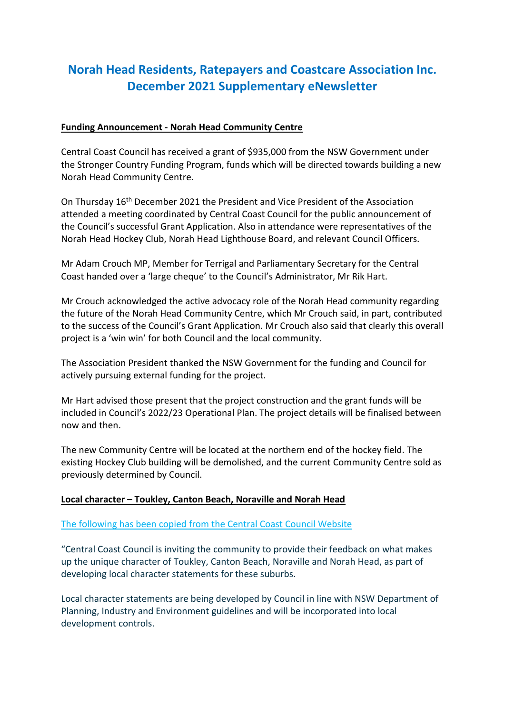# **Norah Head Residents, Ratepayers and Coastcare Association Inc. December 2021 Supplementary eNewsletter**

### **Funding Announcement - Norah Head Community Centre**

Central Coast Council has received a grant of \$935,000 from the NSW Government under the Stronger Country Funding Program, funds which will be directed towards building a new Norah Head Community Centre.

On Thursday 16th December 2021 the President and Vice President of the Association attended a meeting coordinated by Central Coast Council for the public announcement of the Council's successful Grant Application. Also in attendance were representatives of the Norah Head Hockey Club, Norah Head Lighthouse Board, and relevant Council Officers.

Mr Adam Crouch MP, Member for Terrigal and Parliamentary Secretary for the Central Coast handed over a 'large cheque' to the Council's Administrator, Mr Rik Hart.

Mr Crouch acknowledged the active advocacy role of the Norah Head community regarding the future of the Norah Head Community Centre, which Mr Crouch said, in part, contributed to the success of the Council's Grant Application. Mr Crouch also said that clearly this overall project is a 'win win' for both Council and the local community.

The Association President thanked the NSW Government for the funding and Council for actively pursuing external funding for the project.

Mr Hart advised those present that the project construction and the grant funds will be included in Council's 2022/23 Operational Plan. The project details will be finalised between now and then.

The new Community Centre will be located at the northern end of the hockey field. The existing Hockey Club building will be demolished, and the current Community Centre sold as previously determined by Council.

#### **Local character – Toukley, Canton Beach, Noraville and Norah Head**

#### The following has been copied from the Central Coast Council Website

"Central Coast Council is inviting the community to provide their feedback on what makes up the unique character of Toukley, Canton Beach, Noraville and Norah Head, as part of developing local character statements for these suburbs.

Local character statements are being developed by Council in line with NSW Department of Planning, Industry and Environment guidelines and will be incorporated into local development controls.